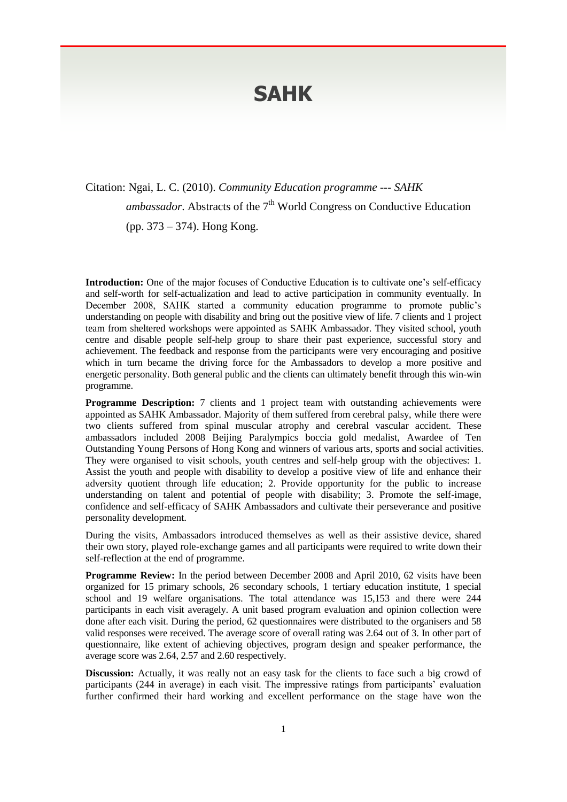## **SAHK**

Citation: Ngai, L. C. (2010). *Community Education programme --- SAHK* ambassador. Abstracts of the 7<sup>th</sup> World Congress on Conductive Education (pp. 373 – 374). Hong Kong.

**Introduction:** One of the major focuses of Conductive Education is to cultivate one's self-efficacy and self-worth for self-actualization and lead to active participation in community eventually. In December 2008, SAHK started a community education programme to promote public's understanding on people with disability and bring out the positive view of life. 7 clients and 1 project team from sheltered workshops were appointed as SAHK Ambassador. They visited school, youth centre and disable people self-help group to share their past experience, successful story and achievement. The feedback and response from the participants were very encouraging and positive which in turn became the driving force for the Ambassadors to develop a more positive and energetic personality. Both general public and the clients can ultimately benefit through this win-win programme.

**Programme Description:** 7 clients and 1 project team with outstanding achievements were appointed as SAHK Ambassador. Majority of them suffered from cerebral palsy, while there were two clients suffered from spinal muscular atrophy and cerebral vascular accident. These ambassadors included 2008 Beijing Paralympics boccia gold medalist, Awardee of Ten Outstanding Young Persons of Hong Kong and winners of various arts, sports and social activities. They were organised to visit schools, youth centres and self-help group with the objectives: 1. Assist the youth and people with disability to develop a positive view of life and enhance their adversity quotient through life education; 2. Provide opportunity for the public to increase understanding on talent and potential of people with disability; 3. Promote the self-image, confidence and self-efficacy of SAHK Ambassadors and cultivate their perseverance and positive personality development.

During the visits, Ambassadors introduced themselves as well as their assistive device, shared their own story, played role-exchange games and all participants were required to write down their self-reflection at the end of programme.

**Programme Review:** In the period between December 2008 and April 2010, 62 visits have been organized for 15 primary schools, 26 secondary schools, 1 tertiary education institute, 1 special school and 19 welfare organisations. The total attendance was 15,153 and there were 244 participants in each visit averagely. A unit based program evaluation and opinion collection were done after each visit. During the period, 62 questionnaires were distributed to the organisers and 58 valid responses were received. The average score of overall rating was 2.64 out of 3. In other part of questionnaire, like extent of achieving objectives, program design and speaker performance, the average score was 2.64, 2.57 and 2.60 respectively.

**Discussion:** Actually, it was really not an easy task for the clients to face such a big crowd of participants (244 in average) in each visit. The impressive ratings from participants' evaluation further confirmed their hard working and excellent performance on the stage have won the